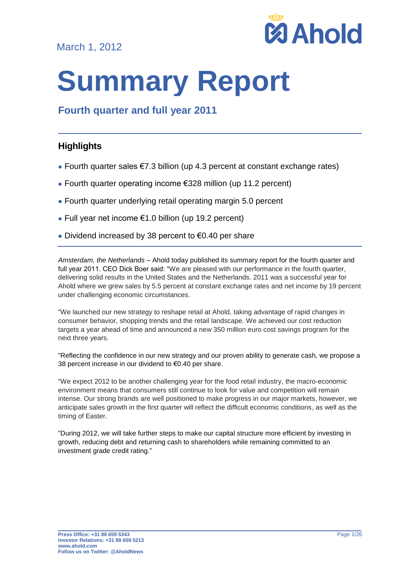March 1, 2012



# **Summary Report**

# **Fourth quarter and full year 2011**

## **Highlights**

- Fourth quarter sales €7.3 billion (up 4.3 percent at constant exchange rates)
- Fourth quarter operating income €328 million (up 11.2 percent)
- Fourth quarter underlying retail operating margin 5.0 percent
- Full year net income €1.0 billion (up 19.2 percent)
- Dividend increased by 38 percent to €0.40 per share

*Amsterdam, the Netherlands* – Ahold today published its summary report for the fourth quarter and full year 2011. CEO Dick Boer said: "We are pleased with our performance in the fourth quarter, delivering solid results in the United States and the Netherlands. 2011 was a successful year for Ahold where we grew sales by 5.5 percent at constant exchange rates and net income by 19 percent under challenging economic circumstances.

"We launched our new strategy to reshape retail at Ahold, taking advantage of rapid changes in consumer behavior, shopping trends and the retail landscape. We achieved our cost reduction targets a year ahead of time and announced a new 350 million euro cost savings program for the next three years.

"Reflecting the confidence in our new strategy and our proven ability to generate cash, we propose a 38 percent increase in our dividend to €0.40 per share.

"We expect 2012 to be another challenging year for the food retail industry, the macro-economic environment means that consumers still continue to look for value and competition will remain intense. Our strong brands are well positioned to make progress in our major markets, however, we anticipate sales growth in the first quarter will reflect the difficult economic conditions, as well as the timing of Easter.

"During 2012, we will take further steps to make our capital structure more efficient by investing in growth, reducing debt and returning cash to shareholders while remaining committed to an investment grade credit rating."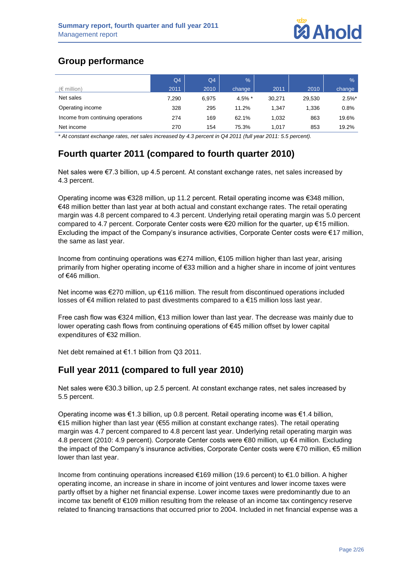## **Group performance**

|                                   | Q <sub>4</sub> | Q4    | $\%$     |        |        | $\%$      |
|-----------------------------------|----------------|-------|----------|--------|--------|-----------|
| $(\epsilon$ million)              | 2011           | 2010  | change   | 2011   | 2010   | change    |
| Net sales                         | 7,290          | 6.975 | 4.5% $*$ | 30.271 | 29.530 | $2.5\%$ * |
| Operating income                  | 328            | 295   | 11.2%    | 1.347  | 1,336  | 0.8%      |
| Income from continuing operations | 274            | 169   | 62.1%    | 1.032  | 863    | 19.6%     |
| Net income                        | 270            | 154   | 75.3%    | 1.017  | 853    | 19.2%     |

*\* At constant exchange rates, net sales increased by 4.3 percent in Q4 2011 (full year 2011: 5.5 percent).*

# **Fourth quarter 2011 (compared to fourth quarter 2010)**

Net sales were €7.3 billion, up 4.5 percent. At constant exchange rates, net sales increased by 4.3 percent.

Operating income was €328 million, up 11.2 percent. Retail operating income was €348 million, €48 million better than last year at both actual and constant exchange rates. The retail operating margin was 4.8 percent compared to 4.3 percent. Underlying retail operating margin was 5.0 percent compared to 4.7 percent. Corporate Center costs were €20 million for the quarter, up €15 million. Excluding the impact of the Company's insurance activities, Corporate Center costs were €17 million, the same as last year.

Income from continuing operations was €274 million, €105 million higher than last year, arising primarily from higher operating income of €33 million and a higher share in income of joint ventures of €46 million.

Net income was €270 million, up €116 million. The result from discontinued operations included losses of €4 million related to past divestments compared to a €15 million loss last year.

Free cash flow was €324 million, €13 million lower than last year. The decrease was mainly due to lower operating cash flows from continuing operations of €45 million offset by lower capital expenditures of €32 million.

Net debt remained at €1.1 billion from Q3 2011.

## **Full year 2011 (compared to full year 2010)**

Net sales were €30.3 billion, up 2.5 percent. At constant exchange rates, net sales increased by 5.5 percent.

Operating income was €1.3 billion, up 0.8 percent. Retail operating income was €1.4 billion, €15 million higher than last year (€55 million at constant exchange rates). The retail operating margin was 4.7 percent compared to 4.8 percent last year. Underlying retail operating margin was 4.8 percent (2010: 4.9 percent). Corporate Center costs were €80 million, up €4 million. Excluding the impact of the Company's insurance activities, Corporate Center costs were €70 million, €5 million lower than last year.

Income from continuing operations increased €169 million (19.6 percent) to €1.0 billion. A higher operating income, an increase in share in income of joint ventures and lower income taxes were partly offset by a higher net financial expense. Lower income taxes were predominantly due to an income tax benefit of €109 million resulting from the release of an income tax contingency reserve related to financing transactions that occurred prior to 2004. Included in net financial expense was a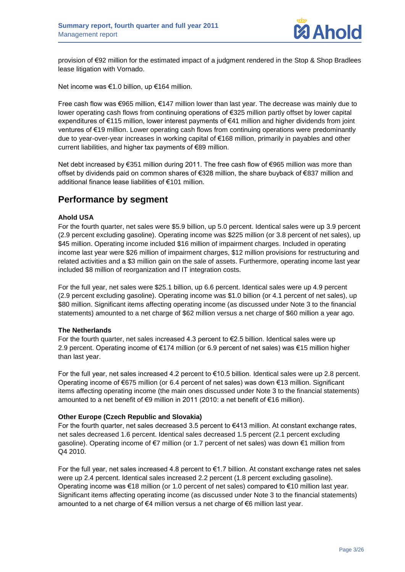

provision of €92 million for the estimated impact of a judgment rendered in the Stop & Shop Bradlees lease litigation with Vornado.

Net income was €1.0 billion, up €164 million.

Free cash flow was €965 million, €147 million lower than last year. The decrease was mainly due to lower operating cash flows from continuing operations of €325 million partly offset by lower capital expenditures of €115 million, lower interest payments of €41 million and higher dividends from joint ventures of €19 million. Lower operating cash flows from continuing operations were predominantly due to year-over-year increases in working capital of €168 million, primarily in payables and other current liabilities, and higher tax payments of €89 million.

Net debt increased by €351 million during 2011. The free cash flow of €965 million was more than offset by dividends paid on common shares of €328 million, the share buyback of €837 million and additional finance lease liabilities of €101 million.

## **Performance by segment**

#### **Ahold USA**

For the fourth quarter, net sales were \$5.9 billion, up 5.0 percent. Identical sales were up 3.9 percent (2.9 percent excluding gasoline). Operating income was \$225 million (or 3.8 percent of net sales), up \$45 million. Operating income included \$16 million of impairment charges. Included in operating income last year were \$26 million of impairment charges, \$12 million provisions for restructuring and related activities and a \$3 million gain on the sale of assets. Furthermore, operating income last year included \$8 million of reorganization and IT integration costs.

For the full year, net sales were \$25.1 billion, up 6.6 percent. Identical sales were up 4.9 percent (2.9 percent excluding gasoline). Operating income was \$1.0 billion (or 4.1 percent of net sales), up \$80 million. Significant items affecting operating income (as discussed under Note 3 to the financial statements) amounted to a net charge of \$62 million versus a net charge of \$60 million a year ago.

#### **The Netherlands**

For the fourth quarter, net sales increased 4.3 percent to  $\epsilon$ 2.5 billion. Identical sales were up 2.9 percent. Operating income of €174 million (or 6.9 percent of net sales) was €15 million higher than last year.

For the full year, net sales increased 4.2 percent to €10.5 billion. Identical sales were up 2.8 percent. Operating income of €675 million (or 6.4 percent of net sales) was down €13 million. Significant items affecting operating income (the main ones discussed under Note 3 to the financial statements) amounted to a net benefit of €9 million in 2011 (2010: a net benefit of €16 million).

#### **Other Europe (Czech Republic and Slovakia)**

For the fourth quarter, net sales decreased 3.5 percent to €413 million. At constant exchange rates, net sales decreased 1.6 percent. Identical sales decreased 1.5 percent (2.1 percent excluding gasoline). Operating income of €7 million (or 1.7 percent of net sales) was down €1 million from Q4 2010.

For the full year, net sales increased 4.8 percent to €1.7 billion. At constant exchange rates net sales were up 2.4 percent. Identical sales increased 2.2 percent (1.8 percent excluding gasoline). Operating income was €18 million (or 1.0 percent of net sales) compared to €10 million last year. Significant items affecting operating income (as discussed under Note 3 to the financial statements) amounted to a net charge of €4 million versus a net charge of €6 million last year.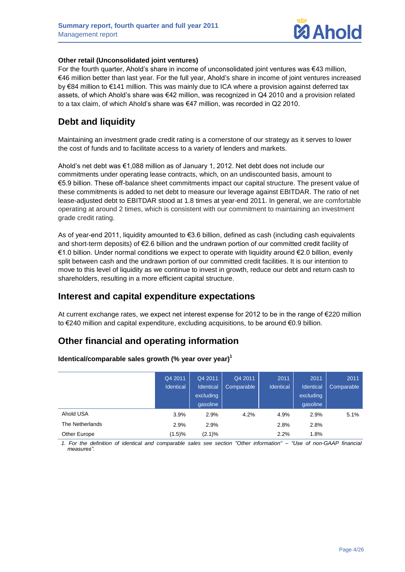

#### **Other retail (Unconsolidated joint ventures)**

For the fourth quarter, Ahold's share in income of unconsolidated joint ventures was €43 million, €46 million better than last year. For the full year, Ahold's share in income of joint ventures increased by €84 million to €141 million. This was mainly due to ICA where a provision against deferred tax assets, of which Ahold's share was €42 million, was recognized in Q4 2010 and a provision related to a tax claim, of which Ahold's share was €47 million, was recorded in Q2 2010.

## **Debt and liquidity**

Maintaining an investment grade credit rating is a cornerstone of our strategy as it serves to lower the cost of funds and to facilitate access to a variety of lenders and markets.

Ahold's net debt was €1,088 million as of January 1, 2012. Net debt does not include our commitments under operating lease contracts, which, on an undiscounted basis, amount to €5.9 billion. These off-balance sheet commitments impact our capital structure. The present value of these commitments is added to net debt to measure our leverage against EBITDAR. The ratio of net lease-adjusted debt to EBITDAR stood at 1.8 times at year-end 2011. In general, we are comfortable operating at around 2 times, which is consistent with our commitment to maintaining an investment grade credit rating.

As of year-end 2011, liquidity amounted to €3.6 billion, defined as cash (including cash equivalents and short-term deposits) of €2.6 billion and the undrawn portion of our committed credit facility of €1.0 billion. Under normal conditions we expect to operate with liquidity around €2.0 billion, evenly split between cash and the undrawn portion of our committed credit facilities. It is our intention to move to this level of liquidity as we continue to invest in growth, reduce our debt and return cash to shareholders, resulting in a more efficient capital structure.

## **Interest and capital expenditure expectations**

At current exchange rates, we expect net interest expense for 2012 to be in the range of €220 million to €240 million and capital expenditure, excluding acquisitions, to be around €0.9 billion.

## **Other financial and operating information**

|                 | Q4 2011<br><b>Identical</b> | Q4 2011<br>Identical<br>excluding<br>qasoline | Q4 2011<br>Comparable | 2011<br><b>Identical</b> | 2011<br>Identical<br>excluding<br>qasoline | 2011<br>Comparable |
|-----------------|-----------------------------|-----------------------------------------------|-----------------------|--------------------------|--------------------------------------------|--------------------|
| Ahold USA       | 3.9%                        | 2.9%                                          | 4.2%                  | 4.9%                     | 2.9%                                       | 5.1%               |
| The Netherlands | 2.9%                        | 2.9%                                          |                       | 2.8%                     | 2.8%                                       |                    |
| Other Europe    | $(1.5) \%$                  | $(2.1)\%$                                     |                       | 2.2%                     | 1.8%                                       |                    |

**Identical/comparable sales growth (% year over year) 1**

*1. For the definition of identical and comparable sales see section "Other information" – "Use of non-GAAP financial measures".*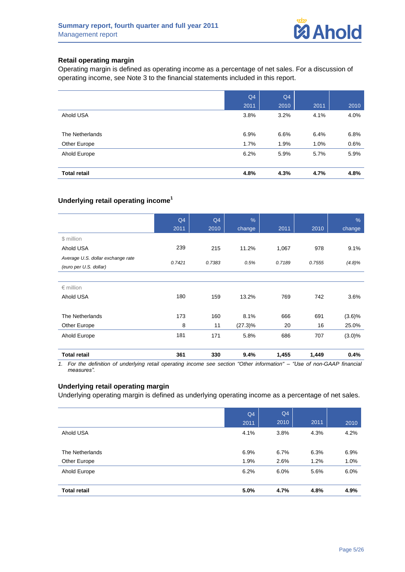

#### **Retail operating margin**

Operating margin is defined as operating income as a percentage of net sales. For a discussion of operating income, see Note 3 to the financial statements included in this report.

|                     | Q4   | Q4   |      |      |
|---------------------|------|------|------|------|
|                     | 2011 | 2010 | 2011 | 2010 |
| Ahold USA           | 3.8% | 3.2% | 4.1% | 4.0% |
|                     |      |      |      |      |
| The Netherlands     | 6.9% | 6.6% | 6.4% | 6.8% |
| Other Europe        | 1.7% | 1.9% | 1.0% | 0.6% |
| Ahold Europe        | 6.2% | 5.9% | 5.7% | 5.9% |
|                     |      |      |      |      |
| <b>Total retail</b> | 4.8% | 4.3% | 4.7% | 4.8% |

#### **Underlying retail operating income<sup>1</sup>**

|                                                             | Q4<br>2011 | Q <sub>4</sub><br>2010 | $\%$<br>change | 2011   | 2010   | $\frac{9}{6}$<br>change |
|-------------------------------------------------------------|------------|------------------------|----------------|--------|--------|-------------------------|
| \$ million                                                  |            |                        |                |        |        |                         |
| Ahold USA                                                   | 239        | 215                    | 11.2%          | 1,067  | 978    | 9.1%                    |
| Average U.S. dollar exchange rate<br>(euro per U.S. dollar) | 0.7421     | 0.7383                 | 0.5%           | 0.7189 | 0.7555 | (4.8)%                  |
|                                                             |            |                        |                |        |        |                         |
| $\epsilon$ million                                          |            |                        |                |        |        |                         |
| Ahold USA                                                   | 180        | 159                    | 13.2%          | 769    | 742    | 3.6%                    |
| The Netherlands                                             | 173        | 160                    | 8.1%           | 666    | 691    | $(3.6)\%$               |
| Other Europe                                                | 8          | 11                     | $(27.3)\%$     | 20     | 16     | 25.0%                   |
| Ahold Europe                                                | 181        | 171                    | 5.8%           | 686    | 707    | $(3.0)\%$               |
| <b>Total retail</b>                                         | 361        | 330                    | 9.4%           | 1,455  | 1,449  | 0.4%                    |

*1. For the definition of underlying retail operating income see section "Other information" – "Use of non-GAAP financial measures".*

#### **Underlying retail operating margin**

Underlying operating margin is defined as underlying operating income as a percentage of net sales.

|                     | Q <sub>4</sub> | Q4   |      |      |
|---------------------|----------------|------|------|------|
|                     | 2011           | 2010 | 2011 | 2010 |
| Ahold USA           | 4.1%           | 3.8% | 4.3% | 4.2% |
|                     |                |      |      |      |
| The Netherlands     | 6.9%           | 6.7% | 6.3% | 6.9% |
| Other Europe        | 1.9%           | 2.6% | 1.2% | 1.0% |
| Ahold Europe        | 6.2%           | 6.0% | 5.6% | 6.0% |
|                     |                |      |      |      |
| <b>Total retail</b> | 5.0%           | 4.7% | 4.8% | 4.9% |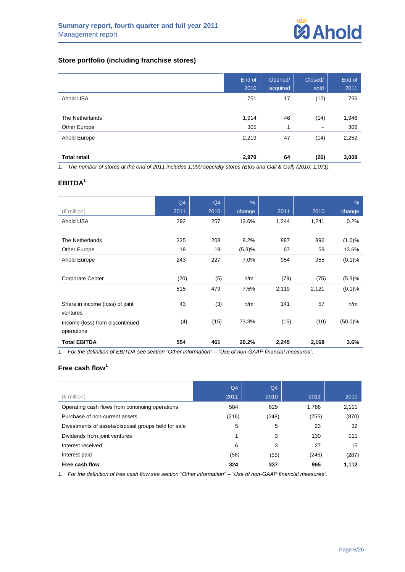#### **Store portfolio (including franchise stores)**

|                              | End of<br>2010 | Opened/<br>acquired | Closed/<br>sold | End of<br>2011 |
|------------------------------|----------------|---------------------|-----------------|----------------|
| Ahold USA                    | 751            | 17                  | (12)            | 756            |
| The Netherlands <sup>1</sup> | 1,914          | 46                  | (14)            | 1,946          |
| Other Europe                 | 305            | 1                   | $\blacksquare$  | 306            |
| Ahold Europe                 | 2,219          | 47                  | (14)            | 2,252          |
| <b>Total retail</b>          | 2,970          | 64                  | (26)            | 3,008          |

*1. The number of stores at the end of 2011 includes 1,090 specialty stores (Etos and Gall & Gall) (2010: 1,071).*

## **EBITDA<sup>1</sup>**

|                                             | Q4   | Q4   | $\%$   |       |       | $\%$       |
|---------------------------------------------|------|------|--------|-------|-------|------------|
| $(\in$ million)                             | 2011 | 2010 | change | 2011  | 2010  | change     |
| Ahold USA                                   | 292  | 257  | 13.6%  | 1,244 | 1,241 | 0.2%       |
|                                             |      |      |        |       |       |            |
| The Netherlands                             | 225  | 208  | 8.2%   | 887   | 896   | (1.0)%     |
| Other Europe                                | 18   | 19   | (5.3)% | 67    | 59    | 13.6%      |
| Ahold Europe                                | 243  | 227  | 7.0%   | 954   | 955   | (0.1)%     |
|                                             |      |      |        |       |       |            |
| <b>Corporate Center</b>                     | (20) | (5)  | n/m    | (79)  | (75)  | (5.3)%     |
|                                             | 515  | 479  | 7.5%   | 2,119 | 2,121 | (0.1)%     |
| Share in income (loss) of joint<br>ventures | 43   | (3)  | n/m    | 141   | 57    | n/m        |
| Income (loss) from discontinued             | (4)  | (15) | 73.3%  | (15)  | (10)  | $(50.0)\%$ |
| operations                                  |      |      |        |       |       |            |
| <b>Total EBITDA</b>                         | 554  | 461  | 20.2%  | 2,245 | 2,168 | 3.6%       |

*1. For the definition of EBITDA see section "Other information" – "Use of non-GAAP financial measures".*

## **Free cash flow<sup>1</sup>**

|                                                     | Q <sub>4</sub> | Q <sub>4</sub> |       |       |
|-----------------------------------------------------|----------------|----------------|-------|-------|
| $(\in$ million)                                     | 2011           | 2010           | 2011  | 2010  |
| Operating cash flows from continuing operations     | 584            | 629            | 1,786 | 2,111 |
| Purchase of non-current assets                      | (216)          | (248)          | (755) | (870) |
| Divestments of assets/disposal groups held for sale | 5              | 5              | 23    | 32    |
| Dividends from joint ventures                       |                | 3              | 130   | 111   |
| Interest received                                   | 6              | 3              | 27    | 15    |
| Interest paid                                       | (56)           | (55)           | (246) | (287) |
| Free cash flow                                      | 324            | 337            | 965   | 1,112 |

*1. For the definition of free cash flow see section "Other information" – "Use of non-GAAP financial measures".*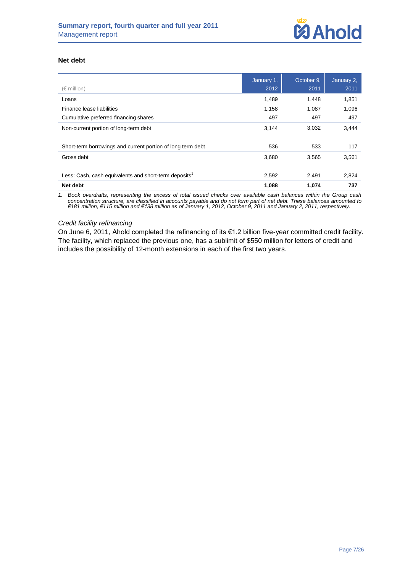#### **Net debt**

| $(\epsilon$ million)                                              | January 1,<br>2012 | October 9,<br>2011 | January 2,<br>2011 |
|-------------------------------------------------------------------|--------------------|--------------------|--------------------|
| Loans                                                             | 1,489              | 1.448              | 1,851              |
| Finance lease liabilities                                         | 1,158              | 1,087              | 1,096              |
| Cumulative preferred financing shares                             | 497                | 497                | 497                |
| Non-current portion of long-term debt                             | 3,144              | 3,032              | 3,444              |
|                                                                   |                    |                    |                    |
| Short-term borrowings and current portion of long term debt       | 536                | 533                | 117                |
| Gross debt                                                        | 3,680              | 3,565              | 3,561              |
|                                                                   |                    |                    |                    |
| Less: Cash, cash equivalents and short-term deposits <sup>1</sup> | 2,592              | 2,491              | 2,824              |
| Net debt                                                          | 1,088              | 1.074              | 737                |

*1. Book overdrafts, representing the excess of total issued checks over available cash balances within the Group cash concentration structure, are classified in accounts payable and do not form part of net debt. These balances amounted to €181 million, €115 million and €138 million as of January 1, 2012, October 9, 2011 and January 2, 2011, respectively.*

#### *Credit facility refinancing*

On June 6, 2011, Ahold completed the refinancing of its €1.2 billion five-year committed credit facility. The facility, which replaced the previous one, has a sublimit of \$550 million for letters of credit and includes the possibility of 12-month extensions in each of the first two years.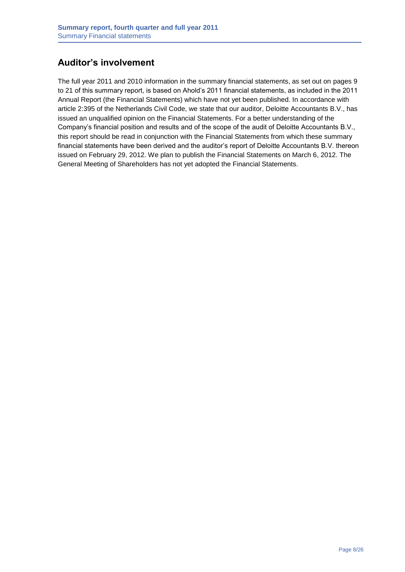## **Auditor's involvement**

The full year 2011 and 2010 information in the summary financial statements, as set out on pages 9 to 21 of this summary report, is based on Ahold's 2011 financial statements, as included in the 2011 Annual Report (the Financial Statements) which have not yet been published. In accordance with article 2:395 of the Netherlands Civil Code, we state that our auditor, Deloitte Accountants B.V., has issued an unqualified opinion on the Financial Statements. For a better understanding of the Company's financial position and results and of the scope of the audit of Deloitte Accountants B.V., this report should be read in conjunction with the Financial Statements from which these summary financial statements have been derived and the auditor's report of Deloitte Accountants B.V. thereon issued on February 29, 2012. We plan to publish the Financial Statements on March 6, 2012. The General Meeting of Shareholders has not yet adopted the Financial Statements.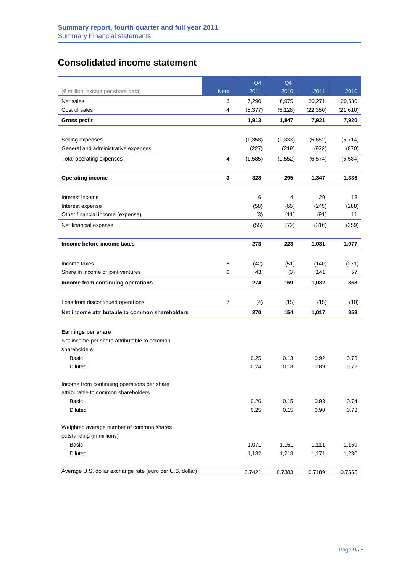## **Consolidated income statement**

|                                                          |                | Q4       | Q4       |           |           |
|----------------------------------------------------------|----------------|----------|----------|-----------|-----------|
| (€ million, except per share data)                       | <b>Note</b>    | 2011     | 2010     | 2011      | 2010      |
| Net sales                                                | 3              | 7,290    | 6,975    | 30,271    | 29,530    |
| Cost of sales                                            | 4              | (5, 377) | (5, 128) | (22, 350) | (21, 610) |
| <b>Gross profit</b>                                      |                | 1,913    | 1,847    | 7,921     | 7,920     |
|                                                          |                |          |          |           |           |
| Selling expenses                                         |                | (1,358)  | (1, 333) | (5,652)   | (5,714)   |
| General and administrative expenses                      |                | (227)    | (219)    | (922)     | (870)     |
| Total operating expenses                                 | $\overline{4}$ | (1,585)  | (1, 552) | (6, 574)  | (6, 584)  |
|                                                          |                |          |          |           |           |
| <b>Operating income</b>                                  | 3              | 328      | 295      | 1,347     | 1,336     |
|                                                          |                |          |          |           |           |
| Interest income                                          |                | 6        | 4        | 20        | 18        |
| Interest expense                                         |                | (58)     | (65)     | (245)     | (288)     |
| Other financial income (expense)                         |                | (3)      | (11)     | (91)      | 11        |
| Net financial expense                                    |                | (55)     | (72)     | (316)     | (259)     |
| Income before income taxes                               |                | 273      | 223      | 1,031     | 1,077     |
|                                                          |                |          |          |           |           |
| Income taxes                                             | 5              | (42)     | (51)     | (140)     | (271)     |
| Share in income of joint ventures                        | 6              | 43       | (3)      | 141       | 57        |
| Income from continuing operations                        |                | 274      | 169      | 1,032     | 863       |
|                                                          |                |          |          |           |           |
| Loss from discontinued operations                        | $\overline{7}$ | (4)      | (15)     | (15)      | (10)      |
| Net income attributable to common shareholders           |                | 270      | 154      | 1,017     | 853       |
|                                                          |                |          |          |           |           |
| <b>Earnings per share</b>                                |                |          |          |           |           |
| Net income per share attributable to common              |                |          |          |           |           |
| shareholders                                             |                |          |          |           |           |
| <b>Basic</b>                                             |                | 0.25     | 0.13     | 0.92      | 0.73      |
| Diluted                                                  |                | 0.24     | 0.13     | 0.89      | 0.72      |
| Income from continuing operations per share              |                |          |          |           |           |
| attributable to common shareholders                      |                |          |          |           |           |
| Basic                                                    |                | 0.26     | 0.15     | 0.93      | 0.74      |
| <b>Diluted</b>                                           |                | 0.25     | 0.15     | 0.90      | 0.73      |
|                                                          |                |          |          |           |           |
| Weighted average number of common shares                 |                |          |          |           |           |
| outstanding (in millions)                                |                |          |          |           |           |
| Basic                                                    |                | 1,071    | 1,151    | 1,111     | 1,169     |
| <b>Diluted</b>                                           |                | 1,132    | 1,213    | 1,171     | 1,230     |
|                                                          |                |          |          |           |           |
| Average U.S. dollar exchange rate (euro per U.S. dollar) |                | 0.7421   | 0.7383   | 0.7189    | 0.7555    |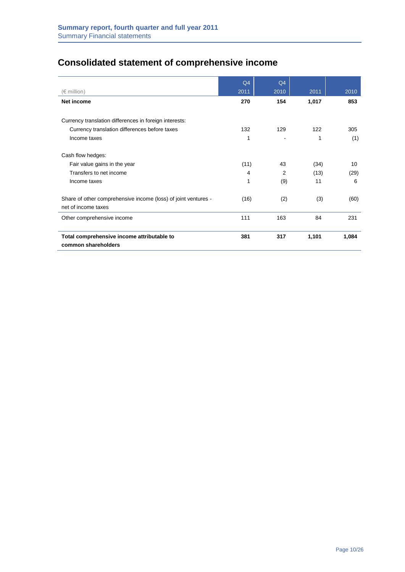# **Consolidated statement of comprehensive income**

|                                                                                       | Q4   | Q4   |       |       |
|---------------------------------------------------------------------------------------|------|------|-------|-------|
| $(\in$ million)                                                                       | 2011 | 2010 | 2011  | 2010  |
| Net income                                                                            | 270  | 154  | 1,017 | 853   |
| Currency translation differences in foreign interests:                                |      |      |       |       |
| Currency translation differences before taxes                                         | 132  | 129  | 122   | 305   |
| Income taxes                                                                          | 1    |      | 1     | (1)   |
| Cash flow hedges:                                                                     |      |      |       |       |
| Fair value gains in the year                                                          | (11) | 43   | (34)  | 10    |
| Transfers to net income                                                               | 4    | 2    | (13)  | (29)  |
| Income taxes                                                                          | 1    | (9)  | 11    | 6     |
| Share of other comprehensive income (loss) of joint ventures -<br>net of income taxes | (16) | (2)  | (3)   | (60)  |
| Other comprehensive income                                                            | 111  | 163  | 84    | 231   |
| Total comprehensive income attributable to<br>common shareholders                     | 381  | 317  | 1,101 | 1,084 |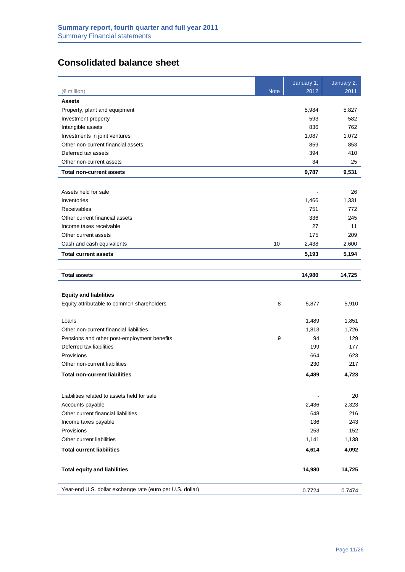## **Consolidated balance sheet**

|                                                           |             | January 2, |
|-----------------------------------------------------------|-------------|------------|
| $(\in$ million)<br><b>Note</b>                            | 2012        | 2011       |
| <b>Assets</b>                                             |             |            |
| Property, plant and equipment                             | 5,984       | 5,827      |
| Investment property                                       | 593         | 582        |
| Intangible assets                                         | 836         | 762        |
| Investments in joint ventures                             | 1,087       | 1,072      |
| Other non-current financial assets                        | 859         | 853        |
| Deferred tax assets                                       | 394         | 410        |
| Other non-current assets                                  | 34          | 25         |
| <b>Total non-current assets</b>                           | 9,787       | 9,531      |
|                                                           |             |            |
| Assets held for sale                                      |             | 26         |
| Inventories                                               | 1,466       | 1,331      |
| Receivables                                               | 751         | 772        |
| Other current financial assets                            | 336         | 245        |
| Income taxes receivable                                   | 27          | 11         |
| Other current assets                                      | 175         | 209        |
| Cash and cash equivalents                                 | 10<br>2,438 | 2,600      |
| <b>Total current assets</b>                               | 5,193       | 5,194      |
|                                                           |             |            |
| <b>Total assets</b>                                       | 14,980      | 14,725     |
|                                                           |             |            |
| <b>Equity and liabilities</b>                             |             |            |
| Equity attributable to common shareholders                | 8<br>5,877  | 5,910      |
| Loans                                                     | 1,489       | 1,851      |
| Other non-current financial liabilities                   | 1,813       | 1,726      |
| Pensions and other post-employment benefits               | 9<br>94     | 129        |
| Deferred tax liabilities                                  | 199         | 177        |
| Provisions                                                | 664         | 623        |
| Other non-current liabilities                             | 230         | 217        |
| <b>Total non-current liabilities</b>                      | 4,489       | 4,723      |
|                                                           |             |            |
| Liabilities related to assets held for sale               |             | 20         |
| Accounts payable                                          | 2,436       | 2,323      |
| Other current financial liabilities                       | 648         | 216        |
| Income taxes payable                                      | 136         | 243        |
| Provisions                                                | 253         | 152        |
| Other current liabilities                                 | 1,141       | 1,138      |
| <b>Total current liabilities</b>                          | 4,614       | 4,092      |
|                                                           |             |            |
| <b>Total equity and liabilities</b>                       | 14,980      | 14,725     |
| Year-end U.S. dollar exchange rate (euro per U.S. dollar) | 0.7724      | 0.7474     |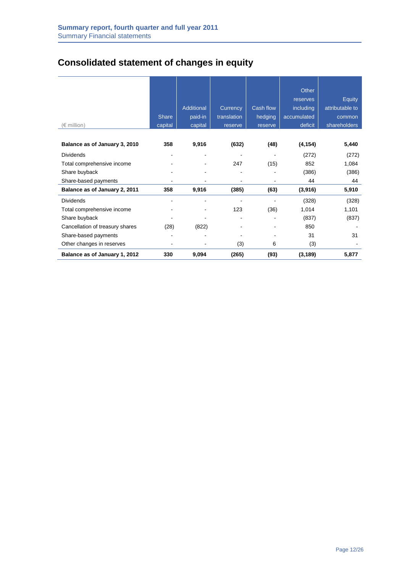# **Consolidated statement of changes in equity**

|                                 |                              |                   |                |                | Other       |                 |
|---------------------------------|------------------------------|-------------------|----------------|----------------|-------------|-----------------|
|                                 |                              |                   |                |                | reserves    | Equity          |
|                                 |                              | <b>Additional</b> | Currency       | Cash flow      | including   | attributable to |
|                                 | <b>Share</b>                 | paid-in           | translation    | hedging        | accumulated | common          |
| $(\in$ million)                 | capital                      | capital           | reserve        | reserve        | deficit     | shareholders    |
|                                 |                              |                   |                |                |             |                 |
| Balance as of January 3, 2010   | 358                          | 9,916             | (632)          | (48)           | (4, 154)    | 5,440           |
| <b>Dividends</b>                | $\qquad \qquad \blacksquare$ | $\blacksquare$    | $\overline{a}$ | $\overline{a}$ | (272)       | (272)           |
| Total comprehensive income      |                              |                   | 247            | (15)           | 852         | 1,084           |
| Share buyback                   |                              |                   |                |                | (386)       | (386)           |
| Share-based payments            |                              |                   |                |                | 44          | 44              |
| Balance as of January 2, 2011   | 358                          | 9,916             | (385)          | (63)           | (3,916)     | 5,910           |
| <b>Dividends</b>                |                              | $\blacksquare$    |                |                | (328)       | (328)           |
| Total comprehensive income      |                              |                   | 123            | (36)           | 1,014       | 1,101           |
| Share buyback                   |                              |                   |                |                | (837)       | (837)           |
| Cancellation of treasury shares | (28)                         | (822)             |                |                | 850         |                 |
| Share-based payments            |                              |                   |                |                | 31          | 31              |
| Other changes in reserves       |                              |                   | (3)            | 6              | (3)         |                 |
| Balance as of January 1, 2012   | 330                          | 9,094             | (265)          | (93)           | (3, 189)    | 5,877           |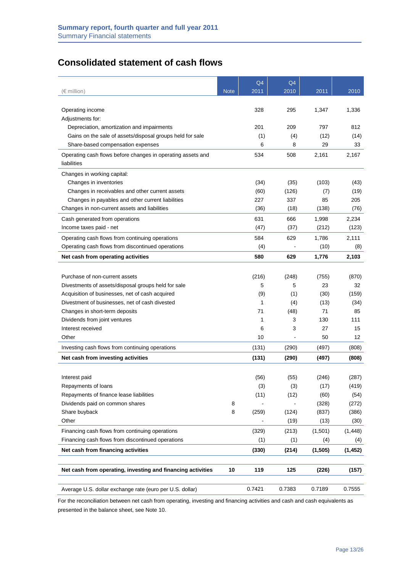## **Consolidated statement of cash flows**

|                                                             |             | Q4     | Q <sub>4</sub> |         |          |
|-------------------------------------------------------------|-------------|--------|----------------|---------|----------|
| (€ million)                                                 | <b>Note</b> | 2011   | 2010           | 2011    | 2010     |
|                                                             |             |        |                |         |          |
| Operating income                                            |             | 328    | 295            | 1,347   | 1,336    |
| Adjustments for:                                            |             |        |                |         |          |
| Depreciation, amortization and impairments                  |             | 201    | 209            | 797     | 812      |
| Gains on the sale of assets/disposal groups held for sale   |             | (1)    | (4)            | (12)    | (14)     |
| Share-based compensation expenses                           |             | 6      | 8              | 29      | 33       |
| Operating cash flows before changes in operating assets and |             | 534    | 508            | 2.161   | 2,167    |
| liabilities                                                 |             |        |                |         |          |
| Changes in working capital:                                 |             |        |                |         |          |
| Changes in inventories                                      |             | (34)   | (35)           | (103)   | (43)     |
| Changes in receivables and other current assets             |             | (60)   | (126)          | (7)     | (19)     |
| Changes in payables and other current liabilities           |             | 227    | 337            | 85      | 205      |
| Changes in non-current assets and liabilities               |             | (36)   | (18)           | (138)   | (76)     |
| Cash generated from operations                              |             | 631    | 666            | 1,998   | 2,234    |
| Income taxes paid - net                                     |             | (47)   | (37)           | (212)   | (123)    |
| Operating cash flows from continuing operations             |             | 584    | 629            | 1,786   | 2,111    |
| Operating cash flows from discontinued operations           |             | (4)    |                | (10)    | (8)      |
| Net cash from operating activities                          |             | 580    | 629            | 1,776   | 2,103    |
|                                                             |             |        |                |         |          |
| Purchase of non-current assets                              |             | (216)  | (248)          | (755)   | (870)    |
| Divestments of assets/disposal groups held for sale         |             | 5      | 5              | 23      | 32       |
| Acquisition of businesses, net of cash acquired             |             | (9)    | (1)            | (30)    | (159)    |
| Divestment of businesses, net of cash divested              |             | 1      | (4)            | (13)    | (34)     |
| Changes in short-term deposits                              |             | 71     | (48)           | 71      | 85       |
| Dividends from joint ventures                               |             | 1      | 3              | 130     | 111      |
| Interest received                                           |             | 6      | 3              | 27      | 15       |
| Other                                                       |             | 10     |                | 50      | 12       |
| Investing cash flows from continuing operations             |             | (131)  | (290)          | (497)   | (808)    |
| Net cash from investing activities                          |             | (131)  | (290)          | (497)   | (808)    |
|                                                             |             |        |                |         |          |
| Interest paid                                               |             | (56)   | (55)           | (246)   | (287)    |
| Repayments of loans                                         |             | (3)    | (3)            | (17)    | (419)    |
| Repayments of finance lease liabilities                     |             | (11)   | (12)           | (60)    | (54)     |
| Dividends paid on common shares                             | 8           |        |                | (328)   | (272)    |
| Share buyback                                               | 8           | (259)  | (124)          | (837)   | (386)    |
| Other                                                       |             |        | (19)           | (13)    | (30)     |
| Financing cash flows from continuing operations             |             | (329)  | (213)          | (1,501) | (1, 448) |
| Financing cash flows from discontinued operations           |             | (1)    | (1)            | (4)     | (4)      |
|                                                             |             |        |                | (1,505) |          |
| Net cash from financing activities                          |             | (330)  | (214)          |         | (1, 452) |
|                                                             |             |        |                |         |          |
| Net cash from operating, investing and financing activities | 10          | 119    | 125            | (226)   | (157)    |
|                                                             |             |        |                |         |          |
| Average U.S. dollar exchange rate (euro per U.S. dollar)    |             | 0.7421 | 0.7383         | 0.7189  | 0.7555   |

For the reconciliation between net cash from operating, investing and financing activities and cash and cash equivalents as presented in the balance sheet, see Note 10.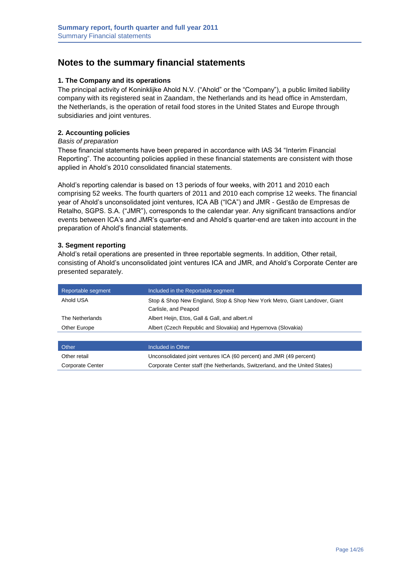## **Notes to the summary financial statements**

#### **1. The Company and its operations**

The principal activity of Koninklijke Ahold N.V. ("Ahold" or the "Company"), a public limited liability company with its registered seat in Zaandam, the Netherlands and its head office in Amsterdam, the Netherlands, is the operation of retail food stores in the United States and Europe through subsidiaries and joint ventures.

#### **2. Accounting policies**

#### *Basis of preparation*

These financial statements have been prepared in accordance with IAS 34 "Interim Financial Reporting". The accounting policies applied in these financial statements are consistent with those applied in Ahold's 2010 consolidated financial statements.

Ahold's reporting calendar is based on 13 periods of four weeks, with 2011 and 2010 each comprising 52 weeks. The fourth quarters of 2011 and 2010 each comprise 12 weeks. The financial year of Ahold's unconsolidated joint ventures, ICA AB ("ICA") and JMR - Gestão de Empresas de Retalho, SGPS. S.A. ("JMR"), corresponds to the calendar year. Any significant transactions and/or events between ICA's and JMR's quarter-end and Ahold's quarter-end are taken into account in the preparation of Ahold's financial statements.

#### **3. Segment reporting**

Ahold's retail operations are presented in three reportable segments. In addition, Other retail, consisting of Ahold's unconsolidated joint ventures ICA and JMR, and Ahold's Corporate Center are presented separately.

| Reportable segment | Included in the Reportable segment                                         |
|--------------------|----------------------------------------------------------------------------|
| Ahold USA          | Stop & Shop New England, Stop & Shop New York Metro, Giant Landover, Giant |
|                    | Carlisle, and Peapod                                                       |
| The Netherlands    | Albert Heijn, Etos, Gall & Gall, and albert.nl                             |
| Other Europe       | Albert (Czech Republic and Slovakia) and Hypernova (Slovakia)              |
|                    |                                                                            |

| <b>Other</b>     | Included in Other                                                            |
|------------------|------------------------------------------------------------------------------|
| Other retail     | Unconsolidated joint ventures ICA (60 percent) and JMR (49 percent)          |
| Corporate Center | Corporate Center staff (the Netherlands, Switzerland, and the United States) |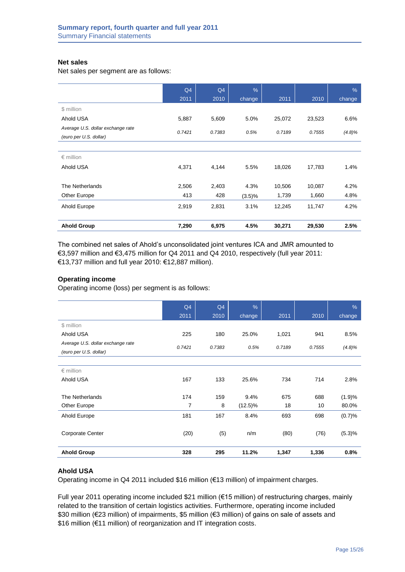#### **Net sales**

Net sales per segment are as follows:

|                                                             | Q4     | Q4     | $\frac{9}{6}$ |        |        | $\%$   |
|-------------------------------------------------------------|--------|--------|---------------|--------|--------|--------|
|                                                             | 2011   | 2010   | change        | 2011   | 2010   | change |
| \$ million                                                  |        |        |               |        |        |        |
| Ahold USA                                                   | 5,887  | 5,609  | 5.0%          | 25,072 | 23,523 | 6.6%   |
| Average U.S. dollar exchange rate<br>(euro per U.S. dollar) | 0.7421 | 0.7383 | 0.5%          | 0.7189 | 0.7555 | (4.8)% |
|                                                             |        |        |               |        |        |        |
| $\epsilon$ million                                          |        |        |               |        |        |        |
| Ahold USA                                                   | 4,371  | 4,144  | 5.5%          | 18,026 | 17,783 | 1.4%   |
| The Netherlands                                             | 2,506  | 2,403  | 4.3%          | 10,506 | 10,087 | 4.2%   |
| Other Europe                                                | 413    | 428    | (3.5)%        | 1,739  | 1,660  | 4.8%   |
| Ahold Europe                                                | 2,919  | 2,831  | 3.1%          | 12,245 | 11,747 | 4.2%   |
| <b>Ahold Group</b>                                          | 7,290  | 6,975  | 4.5%          | 30,271 | 29,530 | 2.5%   |

The combined net sales of Ahold's unconsolidated joint ventures ICA and JMR amounted to €3,597 million and €3,475 million for Q4 2011 and Q4 2010, respectively (full year 2011: €13,737 million and full year 2010: €12,887 million).

#### **Operating income**

Operating income (loss) per segment is as follows:

|                                   | Q4             | Q4     | $\frac{9}{6}$ |        |        | $\%$      |
|-----------------------------------|----------------|--------|---------------|--------|--------|-----------|
|                                   | 2011           | 2010   | change        | 2011   | 2010   | change    |
| \$ million                        |                |        |               |        |        |           |
| Ahold USA                         | 225            | 180    | 25.0%         | 1,021  | 941    | 8.5%      |
| Average U.S. dollar exchange rate | 0.7421         | 0.7383 | 0.5%          | 0.7189 | 0.7555 | $(4.8)\%$ |
| (euro per U.S. dollar)            |                |        |               |        |        |           |
|                                   |                |        |               |        |        |           |
| $\epsilon$ million                |                |        |               |        |        |           |
| Ahold USA                         | 167            | 133    | 25.6%         | 734    | 714    | 2.8%      |
|                                   |                |        |               |        |        |           |
| The Netherlands                   | 174            | 159    | 9.4%          | 675    | 688    | (1.9)%    |
| Other Europe                      | $\overline{7}$ | 8      | (12.5)%       | 18     | 10     | 80.0%     |
| Ahold Europe                      | 181            | 167    | 8.4%          | 693    | 698    | (0.7)%    |
|                                   |                |        |               |        |        |           |
| <b>Corporate Center</b>           | (20)           | (5)    | n/m           | (80)   | (76)   | (5.3)%    |
|                                   |                |        |               |        |        |           |
| <b>Ahold Group</b>                | 328            | 295    | 11.2%         | 1,347  | 1,336  | 0.8%      |

#### **Ahold USA**

Operating income in Q4 2011 included \$16 million (€13 million) of impairment charges.

Full year 2011 operating income included \$21 million (€15 million) of restructuring charges, mainly related to the transition of certain logistics activities. Furthermore, operating income included \$30 million (€23 million) of impairments, \$5 million (€3 million) of gains on sale of assets and \$16 million (€11 million) of reorganization and IT integration costs.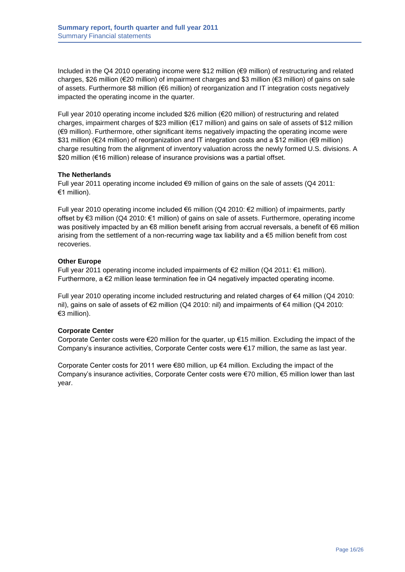Included in the Q4 2010 operating income were \$12 million (€9 million) of restructuring and related charges, \$26 million (€20 million) of impairment charges and \$3 million (€3 million) of gains on sale of assets. Furthermore \$8 million (€6 million) of reorganization and IT integration costs negatively impacted the operating income in the quarter.

Full year 2010 operating income included \$26 million (€20 million) of restructuring and related charges, impairment charges of \$23 million (€17 million) and gains on sale of assets of \$12 million (€9 million). Furthermore, other significant items negatively impacting the operating income were \$31 million (€24 million) of reorganization and IT integration costs and a \$12 million (€9 million) charge resulting from the alignment of inventory valuation across the newly formed U.S. divisions. A \$20 million (€16 million) release of insurance provisions was a partial offset.

#### **The Netherlands**

Full year 2011 operating income included €9 million of gains on the sale of assets (Q4 2011: €1 million).

Full year 2010 operating income included €6 million (Q4 2010: €2 million) of impairments, partly offset by €3 million (Q4 2010: €1 million) of gains on sale of assets. Furthermore, operating income was positively impacted by an €8 million benefit arising from accrual reversals, a benefit of €6 million arising from the settlement of a non-recurring wage tax liability and a €5 million benefit from cost recoveries.

#### **Other Europe**

Full year 2011 operating income included impairments of  $€2$  million (Q4 2011:  $€1$  million). Furthermore, a €2 million lease termination fee in Q4 negatively impacted operating income.

Full year 2010 operating income included restructuring and related charges of €4 million (Q4 2010: nil), gains on sale of assets of €2 million (Q4 2010: nil) and impairments of €4 million (Q4 2010: €3 million).

#### **Corporate Center**

Corporate Center costs were €20 million for the quarter, up €15 million. Excluding the impact of the Company's insurance activities, Corporate Center costs were €17 million, the same as last year.

Corporate Center costs for 2011 were  $\epsilon$ 80 million, up  $\epsilon$ 4 million. Excluding the impact of the Company's insurance activities, Corporate Center costs were €70 million, €5 million lower than last year.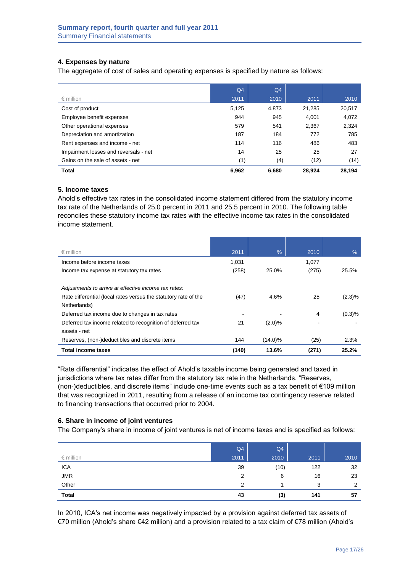## **4. Expenses by nature**

The aggregate of cost of sales and operating expenses is specified by nature as follows:

|                                       | Q <sub>4</sub> | Q4    |        |        |
|---------------------------------------|----------------|-------|--------|--------|
| $\epsilon$ million                    | 2011           | 2010  | 2011   | 2010   |
| Cost of product                       | 5,125          | 4.873 | 21.285 | 20,517 |
| Employee benefit expenses             | 944            | 945   | 4.001  | 4,072  |
| Other operational expenses            | 579            | 541   | 2,367  | 2,324  |
| Depreciation and amortization         | 187            | 184   | 772    | 785    |
| Rent expenses and income - net        | 114            | 116   | 486    | 483    |
| Impairment losses and reversals - net | 14             | 25    | 25     | 27     |
| Gains on the sale of assets - net     | (1)            | (4)   | (12)   | (14)   |
| <b>Total</b>                          | 6,962          | 6.680 | 28.924 | 28,194 |

#### **5. Income taxes**

Ahold's effective tax rates in the consolidated income statement differed from the statutory income tax rate of the Netherlands of 25.0 percent in 2011 and 25.5 percent in 2010. The following table reconciles these statutory income tax rates with the effective income tax rates in the consolidated income statement.

| $\epsilon$ million                                              | 2011  | $\%$       | 2010  | $\%$   |
|-----------------------------------------------------------------|-------|------------|-------|--------|
| Income before income taxes                                      | 1.031 |            | 1,077 |        |
| Income tax expense at statutory tax rates                       | (258) | 25.0%      | (275) | 25.5%  |
|                                                                 |       |            |       |        |
| Adjustments to arrive at effective income tax rates:            |       |            |       |        |
| Rate differential (local rates versus the statutory rate of the | (47)  | 4.6%       | 25    | (2.3)% |
| Netherlands)                                                    |       |            |       |        |
| Deferred tax income due to changes in tax rates                 |       |            | 4     | (0.3)% |
| Deferred tax income related to recognition of deferred tax      | 21    | (2.0)%     |       |        |
| assets - net                                                    |       |            |       |        |
| Reserves, (non-)deductibles and discrete items                  | 144   | $(14.0)\%$ | (25)  | 2.3%   |
| <b>Total income taxes</b>                                       | (140) | 13.6%      | (271) | 25.2%  |

"Rate differential" indicates the effect of Ahold's taxable income being generated and taxed in jurisdictions where tax rates differ from the statutory tax rate in the Netherlands. "Reserves, (non-)deductibles, and discrete items" include one-time events such as a tax benefit of €109 million that was recognized in 2011, resulting from a release of an income tax contingency reserve related to financing transactions that occurred prior to 2004.

#### **6. Share in income of joint ventures**

The Company's share in income of joint ventures is net of income taxes and is specified as follows:

| $\epsilon$ million | Q4<br>2011 | Q4<br>2010 | 2011 | 2010           |
|--------------------|------------|------------|------|----------------|
| <b>ICA</b>         | 39         | (10)       | 122  | 32             |
| <b>JMR</b>         | 2          | 6          | 16   | 23             |
| Other              | 2          |            | 3    | $\overline{2}$ |
| <b>Total</b>       | 43         | (3)        | 141  | 57             |

In 2010, ICA's net income was negatively impacted by a provision against deferred tax assets of €70 million (Ahold's share €42 million) and a provision related to a tax claim of €78 million (Ahold's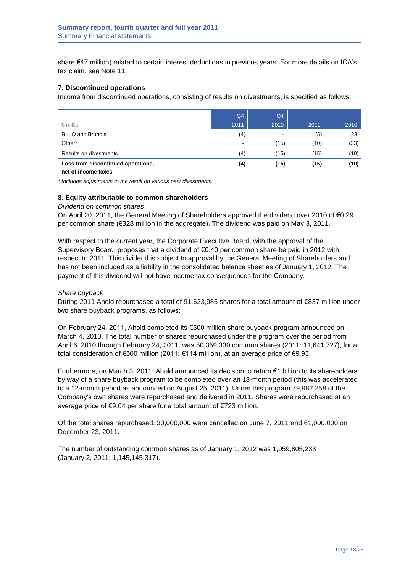share €47 million) related to certain interest deductions in previous years. For more details on ICA's tax claim, see Note 11.

#### **7. Discontinued operations**

Income from discontinued operations, consisting of results on divestments, is specified as follows:

|                                                           | Q <sub>4</sub>           | Q <sub>4</sub> |      |      |
|-----------------------------------------------------------|--------------------------|----------------|------|------|
| $\epsilon$ million                                        | 2011                     | 2010           | 2011 | 2010 |
| BI-LO and Bruno's                                         | (4)                      | $\blacksquare$ | (5)  | 23   |
| Other*                                                    | $\overline{\phantom{a}}$ | (15)           | (10) | (33) |
| Results on divestments                                    | (4)                      | (15)           | (15) | (10) |
| Loss from discontinued operations,<br>net of income taxes | (4)                      | (15)           | (15) | (10) |

*\* Includes adjustments to the result on various past divestments.*

#### **8. Equity attributable to common shareholders**

#### *Dividend on common shares*

On April 20, 2011, the General Meeting of Shareholders approved the dividend over 2010 of €0.29 per common share (€328 million in the aggregate). The dividend was paid on May 3, 2011.

With respect to the current year, the Corporate Executive Board, with the approval of the Supervisory Board, proposes that a dividend of €0.40 per common share be paid in 2012 with respect to 2011. This dividend is subject to approval by the General Meeting of Shareholders and has not been included as a liability in the consolidated balance sheet as of January 1, 2012. The payment of this dividend will not have income tax consequences for the Company.

#### *Share buyback*

During 2011 Ahold repurchased a total of 91,623,985 shares for a total amount of €837 million under two share buyback programs, as follows:

On February 24, 2011, Ahold completed its €500 million share buyback program announced on March 4, 2010. The total number of shares repurchased under the program over the period from April 6, 2010 through February 24, 2011, was 50,359,330 common shares (2011: 11,641,727), for a total consideration of €500 million (2011: €114 million), at an average price of €9.93.

Furthermore, on March 3, 2011, Ahold announced its decision to return €1 billion to its shareholders by way of a share buyback program to be completed over an 18-month period (this was accelerated to a 12-month period as announced on August 25, 2011). Under this program 79,982,258 of the Company's own shares were repurchased and delivered in 2011. Shares were repurchased at an average price of €9.04 per share for a total amount of €723 million.

Of the total shares repurchased, 30,000,000 were cancelled on June 7, 2011 and 61,000,000 on December 23, 2011.

The number of outstanding common shares as of January 1, 2012 was 1,059,805,233 (January 2, 2011: 1,145,145,317).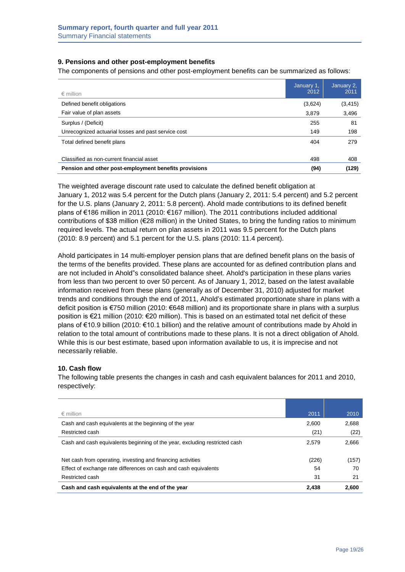#### **9. Pensions and other post-employment benefits**

The components of pensions and other post-employment benefits can be summarized as follows:

| $\epsilon$ million                                    | January 1,<br>2012 | January 2,<br>2011 |
|-------------------------------------------------------|--------------------|--------------------|
| Defined benefit obligations                           | (3,624)            | (3, 415)           |
| Fair value of plan assets                             | 3.879              | 3,496              |
| Surplus / (Deficit)                                   | 255                | 81                 |
| Unrecognized actuarial losses and past service cost   | 149                | 198                |
| Total defined benefit plans                           | 404                | 279                |
| Classified as non-current financial asset             | 498                | 408                |
| Pension and other post-employment benefits provisions | (94)               | (129)              |

The weighted average discount rate used to calculate the defined benefit obligation at January 1, 2012 was 5.4 percent for the Dutch plans (January 2, 2011: 5.4 percent) and 5.2 percent for the U.S. plans (January 2, 2011: 5.8 percent). Ahold made contributions to its defined benefit plans of €186 million in 2011 (2010: €167 million). The 2011 contributions included additional contributions of \$38 million (€28 million) in the United States, to bring the funding ratios to minimum required levels. The actual return on plan assets in 2011 was 9.5 percent for the Dutch plans (2010: 8.9 percent) and 5.1 percent for the U.S. plans (2010: 11.4 percent).

Ahold participates in 14 multi-employer pension plans that are defined benefit plans on the basis of the terms of the benefits provided. These plans are accounted for as defined contribution plans and are not included in Ahold"s consolidated balance sheet. Ahold's participation in these plans varies from less than two percent to over 50 percent. As of January 1, 2012, based on the latest available information received from these plans (generally as of December 31, 2010) adjusted for market trends and conditions through the end of 2011, Ahold's estimated proportionate share in plans with a deficit position is €750 million (2010: €648 million) and its proportionate share in plans with a surplus position is €21 million (2010: €20 million). This is based on an estimated total net deficit of these plans of €10.9 billion (2010: €10.1 billion) and the relative amount of contributions made by Ahold in relation to the total amount of contributions made to these plans. It is not a direct obligation of Ahold. While this is our best estimate, based upon information available to us, it is imprecise and not necessarily reliable.

## **10. Cash flow**

The following table presents the changes in cash and cash equivalent balances for 2011 and 2010, respectively:

| $\epsilon$ million                                                         | 2011  | 2010  |
|----------------------------------------------------------------------------|-------|-------|
| Cash and cash equivalents at the beginning of the year                     | 2.600 | 2,688 |
| Restricted cash                                                            | (21)  | (22)  |
| Cash and cash equivalents beginning of the year, excluding restricted cash | 2.579 | 2,666 |
| Net cash from operating, investing and financing activities                | (226) | (157) |
| Effect of exchange rate differences on cash and cash equivalents           | 54    | 70    |
| Restricted cash                                                            | 31    | 21    |
| Cash and cash equivalents at the end of the year                           | 2.438 | 2.600 |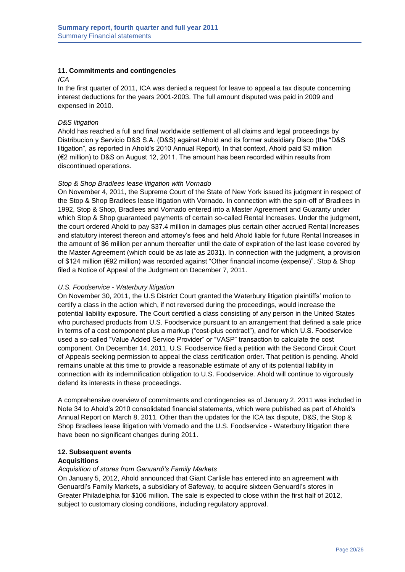#### **11. Commitments and contingencies**

#### *ICA*

In the first quarter of 2011, ICA was denied a request for leave to appeal a tax dispute concerning interest deductions for the years 2001-2003. The full amount disputed was paid in 2009 and expensed in 2010.

#### *D&S litigation*

Ahold has reached a full and final worldwide settlement of all claims and legal proceedings by Distribucion y Servicio D&S S.A. (D&S) against Ahold and its former subsidiary Disco (the "D&S litigation", as reported in Ahold's 2010 Annual Report). In that context, Ahold paid \$3 million (€2 million) to D&S on August 12, 2011. The amount has been recorded within results from discontinued operations.

#### *Stop & Shop Bradlees lease litigation with Vornado*

On November 4, 2011, the Supreme Court of the State of New York issued its judgment in respect of the Stop & Shop Bradlees lease litigation with Vornado. In connection with the spin-off of Bradlees in 1992, Stop & Shop, Bradlees and Vornado entered into a Master Agreement and Guaranty under which Stop & Shop guaranteed payments of certain so-called Rental Increases. Under the judgment, the court ordered Ahold to pay \$37.4 million in damages plus certain other accrued Rental Increases and statutory interest thereon and attorney's fees and held Ahold liable for future Rental Increases in the amount of \$6 million per annum thereafter until the date of expiration of the last lease covered by the Master Agreement (which could be as late as 2031). In connection with the judgment, a provision of \$124 million (€92 million) was recorded against "Other financial income (expense)". Stop & Shop filed a Notice of Appeal of the Judgment on December 7, 2011.

#### *U.S. Foodservice - Waterbury litigation*

On November 30, 2011, the U.S District Court granted the Waterbury litigation plaintiffs' motion to certify a class in the action which, if not reversed during the proceedings, would increase the potential liability exposure. The Court certified a class consisting of any person in the United States who purchased products from U.S. Foodservice pursuant to an arrangement that defined a sale price in terms of a cost component plus a markup ("cost-plus contract"), and for which U.S. Foodservice used a so-called "Value Added Service Provider" or "VASP" transaction to calculate the cost component. On December 14, 2011, U.S. Foodservice filed a petition with the Second Circuit Court of Appeals seeking permission to appeal the class certification order. That petition is pending. Ahold remains unable at this time to provide a reasonable estimate of any of its potential liability in connection with its indemnification obligation to U.S. Foodservice. Ahold will continue to vigorously defend its interests in these proceedings.

A comprehensive overview of commitments and contingencies as of January 2, 2011 was included in Note 34 to Ahold's 2010 consolidated financial statements, which were published as part of Ahold's Annual Report on March 8, 2011. Other than the updates for the ICA tax dispute, D&S, the Stop & Shop Bradlees lease litigation with Vornado and the U.S. Foodservice - Waterbury litigation there have been no significant changes during 2011.

#### **12. Subsequent events**

#### **Acquisitions**

#### *Acquisition of stores from Genuardi's Family Markets*

On January 5, 2012, Ahold announced that Giant Carlisle has entered into an agreement with Genuardi's Family Markets, a subsidiary of Safeway, to acquire sixteen Genuardi's stores in Greater Philadelphia for \$106 million. The sale is expected to close within the first half of 2012, subject to customary closing conditions, including regulatory approval.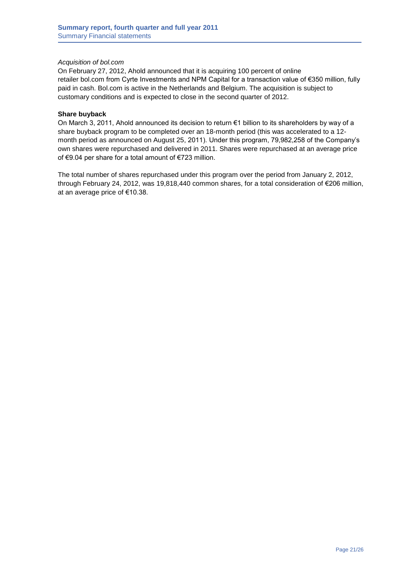#### *Acquisition of bol.com*

On February 27, 2012, Ahold announced that it is acquiring 100 percent of online retailer [bol.com](http://bol.com/) from Cyrte Investments and NPM Capital for a transaction value of €350 million, fully paid in cash. Bol.com is active in the Netherlands and Belgium. The acquisition is subject to customary conditions and is expected to close in the second quarter of 2012.

#### **Share buyback**

On March 3, 2011, Ahold announced its decision to return €1 billion to its shareholders by way of a share buyback program to be completed over an 18-month period (this was accelerated to a 12 month period as announced on August 25, 2011). Under this program, 79,982,258 of the Company's own shares were repurchased and delivered in 2011. Shares were repurchased at an average price of €9.04 per share for a total amount of €723 million.

The total number of shares repurchased under this program over the period from January 2, 2012, through February 24, 2012, was 19,818,440 common shares, for a total consideration of €206 million, at an average price of €10.38.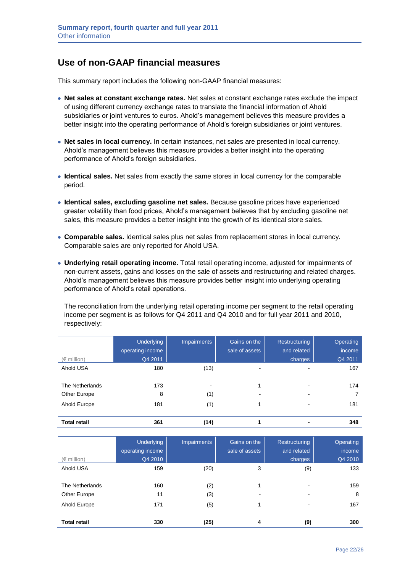## **Use of non-GAAP financial measures**

This summary report includes the following non-GAAP financial measures:

- **Net sales at constant exchange rates.** Net sales at constant exchange rates exclude the impact of using different currency exchange rates to translate the financial information of Ahold subsidiaries or joint ventures to euros. Ahold's management believes this measure provides a better insight into the operating performance of Ahold's foreign subsidiaries or joint ventures.
- **Net sales in local currency.** In certain instances, net sales are presented in local currency. Ahold's management believes this measure provides a better insight into the operating performance of Ahold's foreign subsidiaries.
- **Identical sales.** Net sales from exactly the same stores in local currency for the comparable period.
- **Identical sales, excluding gasoline net sales.** Because gasoline prices have experienced greater volatility than food prices, Ahold's management believes that by excluding gasoline net sales, this measure provides a better insight into the growth of its identical store sales.
- **Comparable sales.** Identical sales plus net sales from replacement stores in local currency. Comparable sales are only reported for Ahold USA.
- **Underlying retail operating income.** Total retail operating income, adjusted for impairments of non-current assets, gains and losses on the sale of assets and restructuring and related charges. Ahold's management believes this measure provides better insight into underlying operating performance of Ahold's retail operations.

The reconciliation from the underlying retail operating income per segment to the retail operating income per segment is as follows for Q4 2011 and Q4 2010 and for full year 2011 and 2010, respectively:

| $(\in$ million)                 | <b>Underlying</b><br>operating income<br>Q4 2011 | <b>Impairments</b> | Gains on the<br>sale of assets | <b>Restructuring</b><br>and related<br>charges | Operating<br>income<br>Q4 2011 |
|---------------------------------|--------------------------------------------------|--------------------|--------------------------------|------------------------------------------------|--------------------------------|
| Ahold USA                       | 180                                              | (13)               |                                |                                                | 167                            |
| The Netherlands<br>Other Europe | 173<br>8                                         | (1)                |                                |                                                | 174                            |
| Ahold Europe                    | 181                                              | (1)                |                                |                                                | 181                            |
| <b>Total retail</b>             | 361                                              | (14)               |                                |                                                | 348                            |

| $(\in$ million)                 | Underlying<br>operating income<br>Q4 2010 | Impairments | Gains on the<br>sale of assets | <b>Restructuring</b><br>and related<br>charges | Operating<br>income<br>Q4 2010 |
|---------------------------------|-------------------------------------------|-------------|--------------------------------|------------------------------------------------|--------------------------------|
| Ahold USA                       | 159                                       | (20)        | 3                              | (9)                                            | 133                            |
| The Netherlands<br>Other Europe | 160<br>11                                 | (2)<br>(3)  |                                | -                                              | 159<br>8                       |
| Ahold Europe                    | 171                                       | (5)         |                                | ٠                                              | 167                            |
| <b>Total retail</b>             | 330                                       | (25)        | 4                              | (9)                                            | 300                            |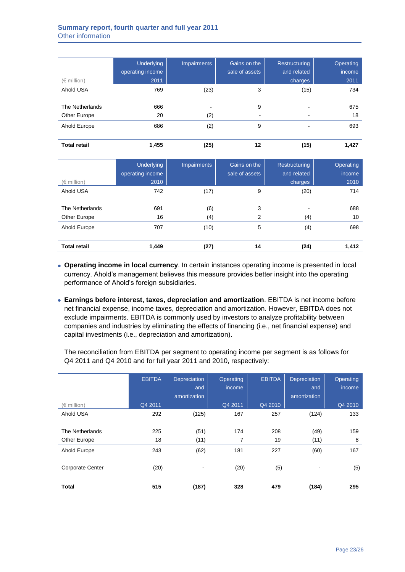## **Summary report, fourth quarter and full year 2011** Other information

| $(\in$ million)                 | Underlying<br>operating income<br>2011 | <b>Impairments</b> | Gains on the<br>sale of assets | Restructuring<br>and related<br>charges | Operating<br>income<br>2011 |
|---------------------------------|----------------------------------------|--------------------|--------------------------------|-----------------------------------------|-----------------------------|
| Ahold USA                       | 769                                    | (23)               | 3                              | (15)                                    | 734                         |
| The Netherlands<br>Other Europe | 666<br>20                              | (2)                | 9                              |                                         | 675<br>18                   |
| Ahold Europe                    | 686                                    | (2)                | 9                              |                                         | 693                         |
| <b>Total retail</b>             | 1,455                                  | (25)               | 12                             | (15)                                    | 1,427                       |

| $(\in$ million)                 | Underlying<br>operating income<br>2010 | <b>Impairments</b> | <b>Gains</b> on the<br>sale of assets | <b>Restructuring</b><br>and related<br>charges | Operating<br>income<br>2010 |
|---------------------------------|----------------------------------------|--------------------|---------------------------------------|------------------------------------------------|-----------------------------|
| Ahold USA                       | 742                                    | (17)               | 9                                     | (20)                                           | 714                         |
| The Netherlands<br>Other Europe | 691<br>16                              | (6)<br>(4)         | 3<br>2                                | (4)                                            | 688<br>10                   |
| Ahold Europe                    | 707                                    | (10)               | 5                                     | (4)                                            | 698                         |
| <b>Total retail</b>             | 1,449                                  | (27)               | 14                                    | (24)                                           | 1,412                       |

- **Operating income in local currency**. In certain instances operating income is presented in local currency. Ahold's management believes this measure provides better insight into the operating performance of Ahold's foreign subsidiaries.
- **Earnings before interest, taxes, depreciation and amortization**. EBITDA is net income before net financial expense, income taxes, depreciation and amortization. However, EBITDA does not exclude impairments. EBITDA is commonly used by investors to analyze profitability between companies and industries by eliminating the effects of financing (i.e., net financial expense) and capital investments (i.e., depreciation and amortization).

The reconciliation from EBITDA per segment to operating income per segment is as follows for Q4 2011 and Q4 2010 and for full year 2011 and 2010, respectively:

|                         | <b>EBITDA</b> | Depreciation<br>and | Operating<br>income | <b>EBITDA</b> | Depreciation<br>and | Operating<br>income |
|-------------------------|---------------|---------------------|---------------------|---------------|---------------------|---------------------|
|                         |               | amortization        |                     |               | amortization        |                     |
| $(\in$ million)         | Q4 2011       |                     | Q4 2011             | Q4 2010       |                     | Q4 2010             |
| Ahold USA               | 292           | (125)               | 167                 | 257           | (124)               | 133                 |
| The Netherlands         | 225           | (51)                | 174                 | 208           | (49)                | 159                 |
| Other Europe            | 18            | (11)                | 7                   | 19            | (11)                | 8                   |
| Ahold Europe            | 243           | (62)                | 181                 | 227           | (60)                | 167                 |
| <b>Corporate Center</b> | (20)          |                     | (20)                | (5)           |                     | (5)                 |
| <b>Total</b>            | 515           | (187)               | 328                 | 479           | (184)               | 295                 |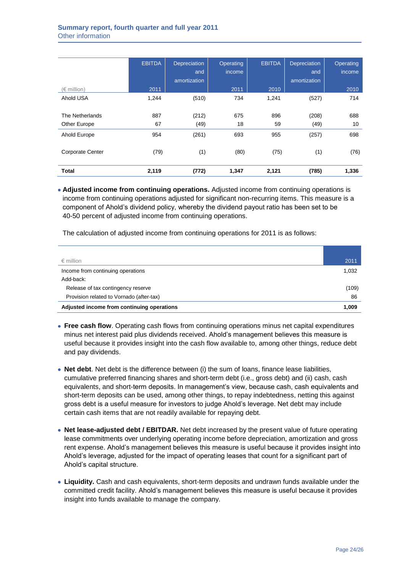|                         | <b>EBITDA</b> | Depreciation<br>and | Operating<br>income | <b>EBITDA</b> | Depreciation<br>and | Operating<br>income |
|-------------------------|---------------|---------------------|---------------------|---------------|---------------------|---------------------|
|                         |               | amortization        |                     |               | amortization        |                     |
| $(\in$ million)         | 2011          |                     | 2011                | 2010          |                     | 2010                |
| Ahold USA               | 1,244         | (510)               | 734                 | 1,241         | (527)               | 714                 |
|                         |               |                     |                     |               |                     |                     |
| The Netherlands         | 887           | (212)               | 675                 | 896           | (208)               | 688                 |
| Other Europe            | 67            | (49)                | 18                  | 59            | (49)                | 10                  |
| Ahold Europe            | 954           | (261)               | 693                 | 955           | (257)               | 698                 |
| <b>Corporate Center</b> | (79)          | (1)                 | (80)                | (75)          | (1)                 | (76)                |
| <b>Total</b>            | 2,119         | (772)               | 1,347               | 2,121         | (785)               | 1,336               |

**Adjusted income from continuing operations.** Adjusted income from continuing operations is income from continuing operations adjusted for significant non-recurring items. This measure is a component of Ahold's dividend policy, whereby the dividend payout ratio has been set to be 40-50 percent of adjusted income from continuing operations.

The calculation of adjusted income from continuing operations for 2011 is as follows:

| $\epsilon$ million                         | 2011  |
|--------------------------------------------|-------|
| Income from continuing operations          | 1,032 |
| Add-back:                                  |       |
| Release of tax contingency reserve         | (109) |
| Provision related to Vornado (after-tax)   | 86    |
| Adjusted income from continuing operations | 1,009 |

- **Free cash flow**. Operating cash flows from continuing operations minus net capital expenditures minus net interest paid plus dividends received. Ahold's management believes this measure is useful because it provides insight into the cash flow available to, among other things, reduce debt and pay dividends.
- **Net debt**. Net debt is the difference between (i) the sum of loans, finance lease liabilities, cumulative preferred financing shares and short-term debt (i.e., gross debt) and (ii) cash, cash equivalents, and short-term deposits. In management's view, because cash, cash equivalents and short-term deposits can be used, among other things, to repay indebtedness, netting this against gross debt is a useful measure for investors to judge Ahold's leverage. Net debt may include certain cash items that are not readily available for repaying debt.
- **Net lease-adjusted debt / EBITDAR.** Net debt increased by the present value of future operating lease commitments over underlying operating income before depreciation, amortization and gross rent expense. Ahold's management believes this measure is useful because it provides insight into Ahold's leverage, adjusted for the impact of operating leases that count for a significant part of Ahold's capital structure.
- **Liquidity.** Cash and cash equivalents, short-term deposits and undrawn funds available under the committed credit facility. Ahold's management believes this measure is useful because it provides insight into funds available to manage the company.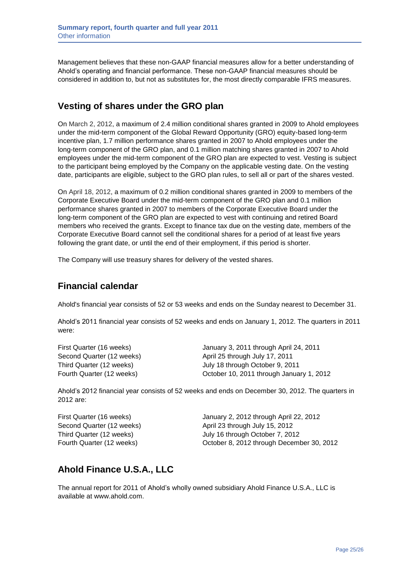Management believes that these non-GAAP financial measures allow for a better understanding of Ahold's operating and financial performance. These non-GAAP financial measures should be considered in addition to, but not as substitutes for, the most directly comparable IFRS measures.

## **Vesting of shares under the GRO plan**

On March 2, 2012, a maximum of 2.4 million conditional shares granted in 2009 to Ahold employees under the mid-term component of the Global Reward Opportunity (GRO) equity-based long-term incentive plan, 1.7 million performance shares granted in 2007 to Ahold employees under the long-term component of the GRO plan, and 0.1 million matching shares granted in 2007 to Ahold employees under the mid-term component of the GRO plan are expected to vest. Vesting is subject to the participant being employed by the Company on the applicable vesting date. On the vesting date, participants are eligible, subject to the GRO plan rules, to sell all or part of the shares vested.

On April 18, 2012, a maximum of 0.2 million conditional shares granted in 2009 to members of the Corporate Executive Board under the mid-term component of the GRO plan and 0.1 million performance shares granted in 2007 to members of the Corporate Executive Board under the long-term component of the GRO plan are expected to vest with continuing and retired Board members who received the grants. Except to finance tax due on the vesting date, members of the Corporate Executive Board cannot sell the conditional shares for a period of at least five years following the grant date, or until the end of their employment, if this period is shorter.

The Company will use treasury shares for delivery of the vested shares.

## **Financial calendar**

Ahold's financial year consists of 52 or 53 weeks and ends on the Sunday nearest to December 31.

Ahold's 2011 financial year consists of 52 weeks and ends on January 1, 2012. The quarters in 2011 were:

First Quarter (16 weeks) January 3, 2011 through April 24, 2011 Second Quarter (12 weeks) April 25 through July 17, 2011 Third Quarter (12 weeks) July 18 through October 9, 2011 Fourth Quarter (12 weeks) October 10, 2011 through January 1, 2012

Ahold's 2012 financial year consists of 52 weeks and ends on December 30, 2012. The quarters in 2012 are:

| First Quarter (16 weeks)  | January 2, 2012 through April 22, 2012    |
|---------------------------|-------------------------------------------|
| Second Quarter (12 weeks) | April 23 through July 15, 2012            |
| Third Quarter (12 weeks)  | July 16 through October 7, 2012           |
| Fourth Quarter (12 weeks) | October 8, 2012 through December 30, 2012 |

## **Ahold Finance U.S.A., LLC**

The annual report for 2011 of Ahold's wholly owned subsidiary Ahold Finance U.S.A., LLC is available at www.ahold.com.